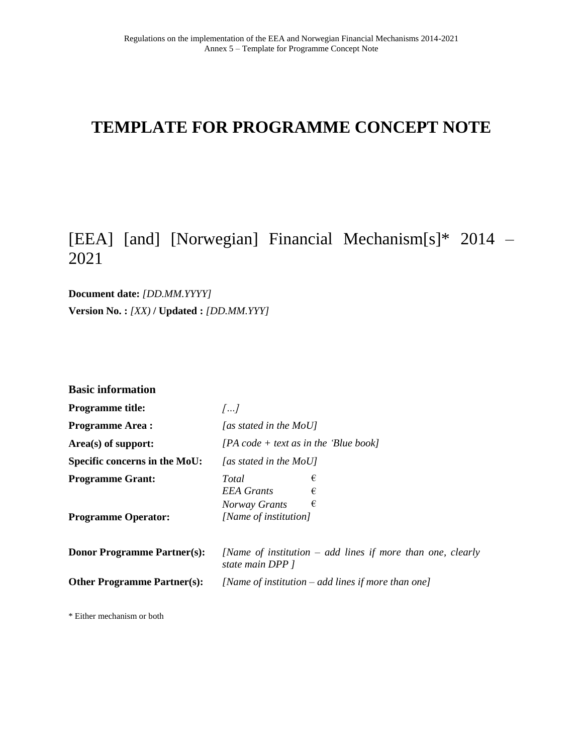# **TEMPLATE FOR PROGRAMME CONCEPT NOTE**

## [EEA] [and] [Norwegian] Financial Mechanism[s]\* 2014 – 2021

**Document date:** *[DD.MM.YYYY]* **Version No. :** *[XX)* **/ Updated :** *[DD.MM.YYY]*

| <b>Basic information</b>                              |                                                                                     |  |  |
|-------------------------------------------------------|-------------------------------------------------------------------------------------|--|--|
| <b>Programme title:</b>                               | $\left[\ldots\right]$                                                               |  |  |
| <b>Programme Area:</b>                                | [as stated in the MoU]                                                              |  |  |
| Area(s) of support:                                   | $[PA \text{ code} + text \text{ as in the 'Blue book}]$                             |  |  |
| Specific concerns in the MoU:                         | [as stated in the MoU]                                                              |  |  |
| <b>Programme Grant:</b><br><b>Programme Operator:</b> | €<br>Total<br><b>EEA</b> Grants<br>€<br>€<br>Norway Grants<br>[Name of institution] |  |  |
| <b>Donor Programme Partner(s):</b>                    | [Name of institution $-$ add lines if more than one, clearly<br>state main DPP 1    |  |  |
| <b>Other Programme Partner(s):</b>                    | [Name of institution – add lines if more than one]                                  |  |  |

\* Either mechanism or both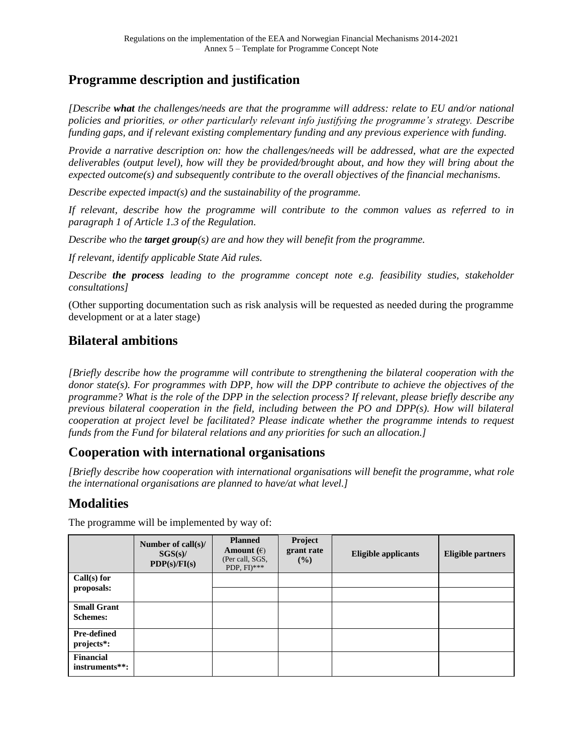### **Programme description and justification**

*[Describe what the challenges/needs are that the programme will address: relate to EU and/or national policies and priorities, or other particularly relevant info justifying the programme's strategy. Describe funding gaps, and if relevant existing complementary funding and any previous experience with funding.*

*Provide a narrative description on: how the challenges/needs will be addressed, what are the expected deliverables (output level), how will they be provided/brought about, and how they will bring about the expected outcome(s) and subsequently contribute to the overall objectives of the financial mechanisms.*

*Describe expected impact(s) and the sustainability of the programme.*

*If relevant, describe how the programme will contribute to the common values as referred to in paragraph 1 of Article 1.3 of the Regulation.*

*Describe who the target group(s) are and how they will benefit from the programme.*

*If relevant, identify applicable State Aid rules.*

*Describe the process leading to the programme concept note e.g. feasibility studies, stakeholder consultations]*

(Other supporting documentation such as risk analysis will be requested as needed during the programme development or at a later stage)

#### **Bilateral ambitions**

*[Briefly describe how the programme will contribute to strengthening the bilateral cooperation with the donor state(s). For programmes with DPP, how will the DPP contribute to achieve the objectives of the programme? What is the role of the DPP in the selection process? If relevant, please briefly describe any previous bilateral cooperation in the field, including between the PO and DPP(s). How will bilateral cooperation at project level be facilitated? Please indicate whether the programme intends to request funds from the Fund for bilateral relations and any priorities for such an allocation.]*

#### **Cooperation with international organisations**

*[Briefly describe how cooperation with international organisations will benefit the programme, what role the international organisations are planned to have/at what level.]* 

#### **Modalities**

|                                        | Number of call(s)/<br>SGS(s)/<br>PDP(s)/FI(s) | <b>Planned</b><br>Amount $(\epsilon)$<br>(Per call, SGS,<br>PDP, $FI$ <sup>***</sup> | Project<br>grant rate<br>(%) | <b>Eligible applicants</b> | <b>Eligible partners</b> |
|----------------------------------------|-----------------------------------------------|--------------------------------------------------------------------------------------|------------------------------|----------------------------|--------------------------|
| $Call(s)$ for                          |                                               |                                                                                      |                              |                            |                          |
| proposals:                             |                                               |                                                                                      |                              |                            |                          |
| <b>Small Grant</b><br><b>Schemes:</b>  |                                               |                                                                                      |                              |                            |                          |
| Pre-defined<br>projects <sup>*</sup> : |                                               |                                                                                      |                              |                            |                          |
| <b>Financial</b><br>instruments**:     |                                               |                                                                                      |                              |                            |                          |

The programme will be implemented by way of: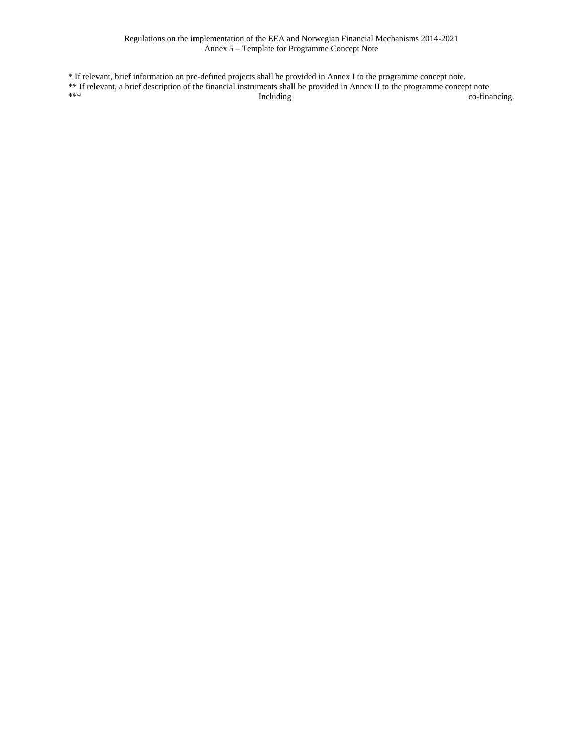\* If relevant, brief information on pre-defined projects shall be provided in Annex I to the programme concept note. \*\* If relevant, a brief description of the financial instruments shall be provided in Annex II to the programme concept note \*\*\* The co-financing co-financing.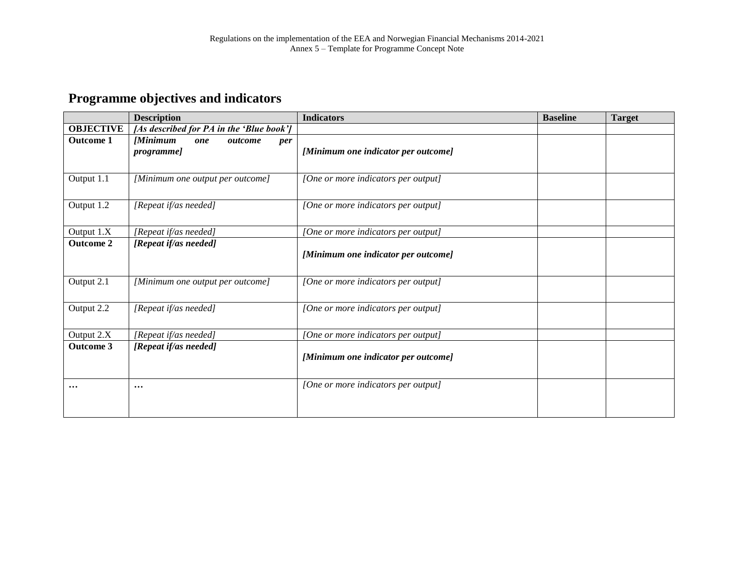## **Programme objectives and indicators**

|                  | <b>Description</b>                                    | <b>Indicators</b>                   | <b>Baseline</b> | <b>Target</b> |
|------------------|-------------------------------------------------------|-------------------------------------|-----------------|---------------|
| <b>OBJECTIVE</b> | [As described for PA in the 'Blue book']              |                                     |                 |               |
| <b>Outcome 1</b> | <b>Minimum</b><br>outcome<br>one<br>per<br>programme] | [Minimum one indicator per outcome] |                 |               |
| Output 1.1       | [Minimum one output per outcome]                      | [One or more indicators per output] |                 |               |
| Output 1.2       | [Repeat if/as needed]                                 | [One or more indicators per output] |                 |               |
| Output 1.X       | [Repeat if/as needed]                                 | [One or more indicators per output] |                 |               |
| <b>Outcome 2</b> | [Repeat if/as needed]                                 | [Minimum one indicator per outcome] |                 |               |
| Output 2.1       | [Minimum one output per outcome]                      | [One or more indicators per output] |                 |               |
| Output 2.2       | [Repeat if/as needed]                                 | [One or more indicators per output] |                 |               |
| Output 2.X       | [Repeat if/as needed]                                 | [One or more indicators per output] |                 |               |
| <b>Outcome 3</b> | [Repeat if/as needed]                                 | [Minimum one indicator per outcome] |                 |               |
| $\cdots$         | $\cdots$                                              | [One or more indicators per output] |                 |               |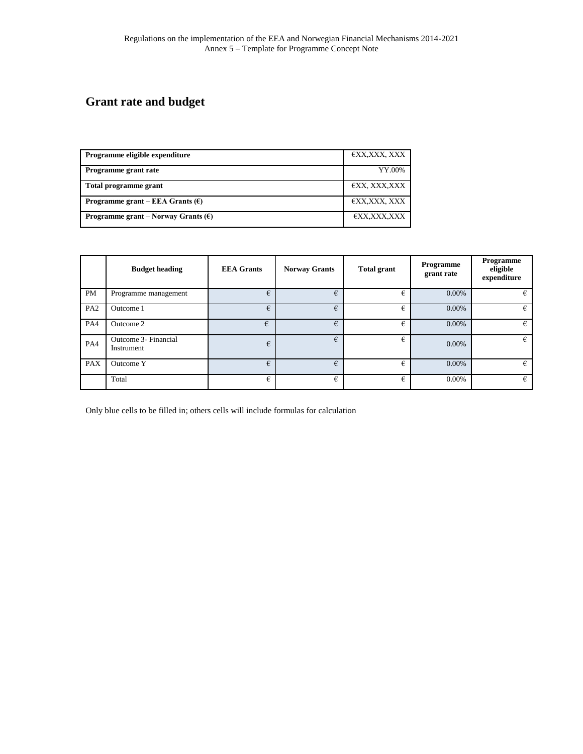# **Grant rate and budget**

| <b>Programme eligible expenditure</b>               | €XX,XXX, XXX |
|-----------------------------------------------------|--------------|
| Programme grant rate                                | YY.00%       |
| Total programme grant                               | €XX, XXX,XXX |
| Programme grant – EEA Grants $(\epsilon)$           | €XX,XXX, XXX |
| <b>Programme grant</b> – Norway Grants $(\epsilon)$ | €XX,XXX,XXX  |

|                 | <b>Budget heading</b>              | <b>EEA</b> Grants | <b>Norway Grants</b> | <b>Total grant</b> | Programme<br>grant rate | Programme<br>eligible<br>expenditure |
|-----------------|------------------------------------|-------------------|----------------------|--------------------|-------------------------|--------------------------------------|
| <b>PM</b>       | Programme management               | €                 | €                    | €                  | 0.00%                   | €                                    |
| PA <sub>2</sub> | Outcome 1                          | €                 | €                    | €                  | 0.00%                   | €                                    |
| PA4             | Outcome 2                          | €                 | €                    | €                  | 0.00%                   | €                                    |
| PA4             | Outcome 3- Financial<br>Instrument | €                 | €                    | €                  | 0.00%                   | €                                    |
| <b>PAX</b>      | Outcome Y                          | €                 | €                    | €                  | 0.00%                   | €                                    |
|                 | Total                              | €                 | €                    | €                  | 0.00%                   | €                                    |

Only blue cells to be filled in; others cells will include formulas for calculation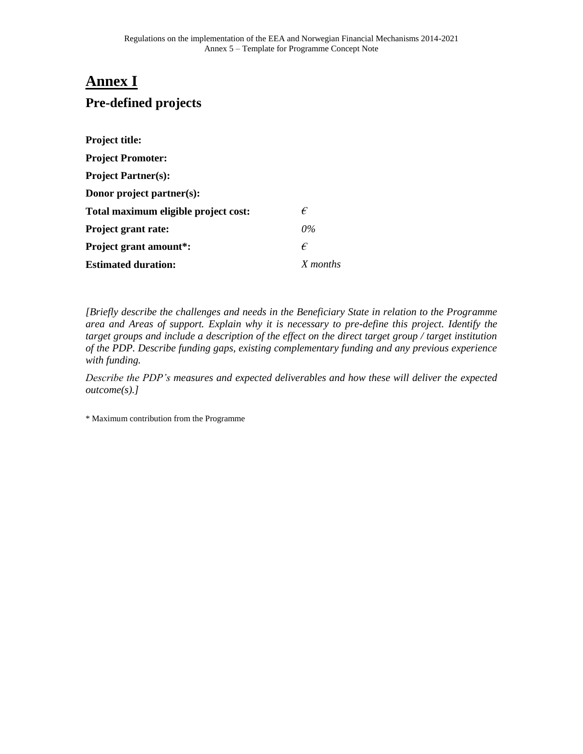### **Annex I**

## **Pre-defined projects**

| Project title:                       |          |
|--------------------------------------|----------|
| <b>Project Promoter:</b>             |          |
| <b>Project Partner(s):</b>           |          |
| Donor project partner(s):            |          |
| Total maximum eligible project cost: | €        |
| Project grant rate:                  | $0\%$    |
| <b>Project grant amount*:</b>        | €        |
| <b>Estimated duration:</b>           | X months |

*[Briefly describe the challenges and needs in the Beneficiary State in relation to the Programme area and Areas of support. Explain why it is necessary to pre-define this project. Identify the target groups and include a description of the effect on the direct target group / target institution of the PDP. Describe funding gaps, existing complementary funding and any previous experience with funding.*

*Describe the PDP's measures and expected deliverables and how these will deliver the expected outcome(s).]*

\* Maximum contribution from the Programme